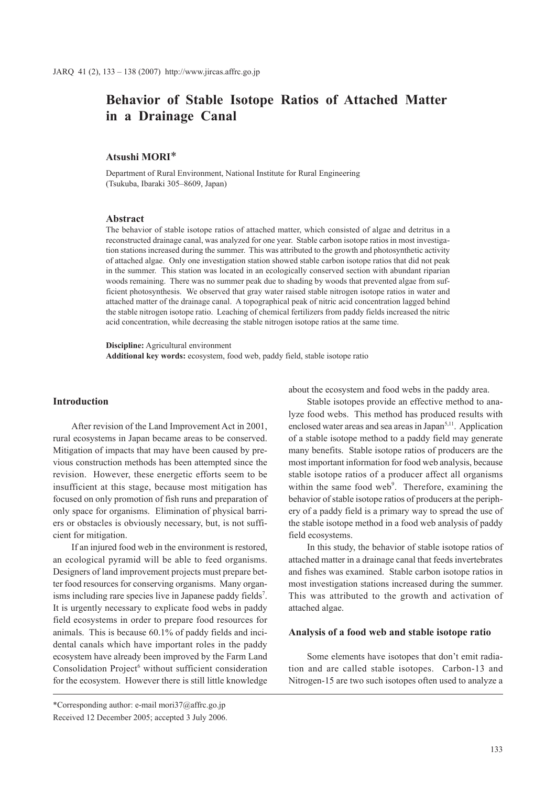# **Behavior of Stable Isotope Ratios of Attached Matter in a Drainage Canal**

# **Atsushi MORI**\*

Department of Rural Environment, National Institute for Rural Engineering (Tsukuba, Ibaraki 305–8609, Japan)

## **Abstract**

The behavior of stable isotope ratios of attached matter, which consisted of algae and detritus in a reconstructed drainage canal, was analyzed for one year. Stable carbon isotope ratios in most investigation stations increased during the summer. This was attributed to the growth and photosynthetic activity of attached algae. Only one investigation station showed stable carbon isotope ratios that did not peak in the summer. This station was located in an ecologically conserved section with abundant riparian woods remaining. There was no summer peak due to shading by woods that prevented algae from sufficient photosynthesis. We observed that gray water raised stable nitrogen isotope ratios in water and attached matter of the drainage canal. A topographical peak of nitric acid concentration lagged behind the stable nitrogen isotope ratio. Leaching of chemical fertilizers from paddy fields increased the nitric acid concentration, while decreasing the stable nitrogen isotope ratios at the same time.

**Discipline:** Agricultural environment **Additional key words:** ecosystem, food web, paddy field, stable isotope ratio

## **Introduction**

After revision of the Land Improvement Act in 2001, rural ecosystems in Japan became areas to be conserved. Mitigation of impacts that may have been caused by previous construction methods has been attempted since the revision. However, these energetic efforts seem to be insufficient at this stage, because most mitigation has focused on only promotion of fish runs and preparation of only space for organisms. Elimination of physical barriers or obstacles is obviously necessary, but, is not sufficient for mitigation.

If an injured food web in the environment is restored, an ecological pyramid will be able to feed organisms. Designers of land improvement projects must prepare better food resources for conserving organisms. Many organisms including rare species live in Japanese paddy fields<sup>7</sup>. It is urgently necessary to explicate food webs in paddy field ecosystems in order to prepare food resources for animals. This is because 60.1% of paddy fields and incidental canals which have important roles in the paddy ecosystem have already been improved by the Farm Land Consolidation Project<sup>6</sup> without sufficient consideration for the ecosystem. However there is still little knowledge

about the ecosystem and food webs in the paddy area.

Stable isotopes provide an effective method to analyze food webs. This method has produced results with enclosed water areas and sea areas in Japan $5,11$ . Application of a stable isotope method to a paddy field may generate many benefits. Stable isotope ratios of producers are the most important information for food web analysis, because stable isotope ratios of a producer affect all organisms within the same food web<sup>9</sup>. Therefore, examining the behavior of stable isotope ratios of producers at the periphery of a paddy field is a primary way to spread the use of the stable isotope method in a food web analysis of paddy field ecosystems.

In this study, the behavior of stable isotope ratios of attached matter in a drainage canal that feeds invertebrates and fishes was examined. Stable carbon isotope ratios in most investigation stations increased during the summer. This was attributed to the growth and activation of attached algae.

#### **Analysis of a food web and stable isotope ratio**

Some elements have isotopes that don't emit radiation and are called stable isotopes. Carbon-13 and Nitrogen-15 are two such isotopes often used to analyze a

<sup>\*</sup>Corresponding author: e-mail mori37@affrc.go.jp Received 12 December 2005; accepted 3 July 2006.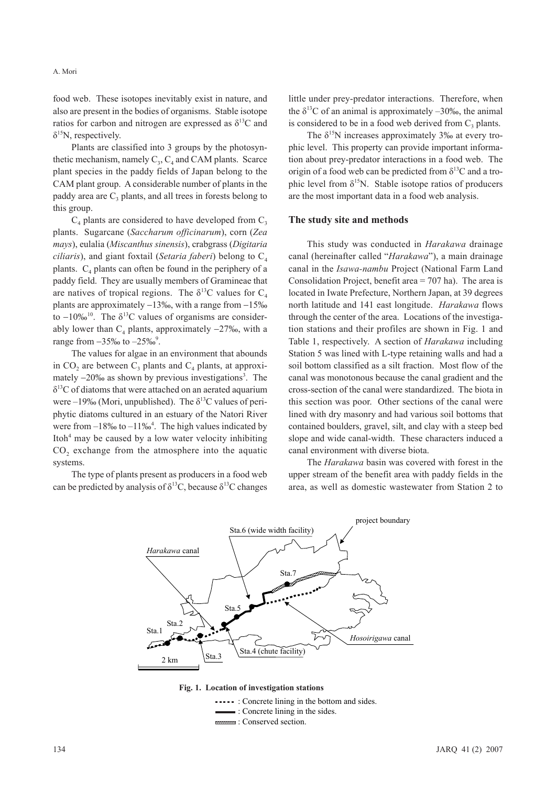A. Mori

food web. These isotopes inevitably exist in nature, and also are present in the bodies of organisms. Stable isotope ratios for carbon and nitrogen are expressed as  $\delta^{13}$ C and  $\delta^{15}$ N, respectively.

Plants are classified into 3 groups by the photosynthetic mechanism, namely  $C_3$ ,  $C_4$  and CAM plants. Scarce plant species in the paddy fields of Japan belong to the CAM plant group. A considerable number of plants in the paddy area are  $C_3$  plants, and all trees in forests belong to this group.

 $C_4$  plants are considered to have developed from  $C_3$ plants. Sugarcane (*Saccharum officinarum*), corn (*Zea mays*), eulalia (*Miscanthus sinensis*), crabgrass (*Digitaria ciliaris*), and giant foxtail (*Setaria faberi*) belong to C<sub>4</sub> plants.  $C_4$  plants can often be found in the periphery of a paddy field. They are usually members of Gramineae that are natives of tropical regions. The  $\delta^{13}$ C values for C<sub>4</sub> plants are approximately -13‰, with a range from -15‰ to  $-10\%$ <sup>10</sup>. The  $\delta^{13}$ C values of organisms are considerably lower than  $C_4$  plants, approximately  $-27\%$ , with a range from  $-35\%$  to  $-25\%$ <sup>9</sup>.

The values for algae in an environment that abounds in CO<sub>2</sub> are between  $C_3$  plants and  $C_4$  plants, at approximately  $-20\%$  as shown by previous investigations<sup>3</sup>. The  $\delta^{13}$ C of diatoms that were attached on an aerated aquarium were –19‰ (Mori, unpublished). The  $\delta^{13}$ C values of periphytic diatoms cultured in an estuary of the Natori River were from  $-18\%$  to  $-11\%$ <sup>4</sup>. The high values indicated by Itoh<sup>4</sup> may be caused by a low water velocity inhibiting CO<sub>2</sub> exchange from the atmosphere into the aquatic systems.

The type of plants present as producers in a food web can be predicted by analysis of  $\delta^{13}$ C, because  $\delta^{13}$ C changes

little under prey-predator interactions. Therefore, when the  $\delta^{13}$ C of an animal is approximately –30‰, the animal is considered to be in a food web derived from  $C_3$  plants.

The  $\delta^{15}$ N increases approximately 3‰ at every trophic level. This property can provide important information about prey-predator interactions in a food web. The origin of a food web can be predicted from  $\delta^{13}$ C and a trophic level from  $\delta^{15}N$ . Stable isotope ratios of producers are the most important data in a food web analysis.

## **The study site and methods**

This study was conducted in *Harakawa* drainage canal (hereinafter called "*Harakawa*"), a main drainage canal in the *Isawa-nambu* Project (National Farm Land Consolidation Project, benefit area = 707 ha). The area is located in Iwate Prefecture, Northern Japan, at 39 degrees north latitude and 141 east longitude. *Harakawa* flows through the center of the area. Locations of the investigation stations and their profiles are shown in Fig. 1 and Table 1, respectively. A section of *Harakawa* including Station 5 was lined with L-type retaining walls and had a soil bottom classified as a silt fraction. Most flow of the canal was monotonous because the canal gradient and the cross-section of the canal were standardized. The biota in this section was poor. Other sections of the canal were lined with dry masonry and had various soil bottoms that contained boulders, gravel, silt, and clay with a steep bed slope and wide canal-width. These characters induced a canal environment with diverse biota.

The *Harakawa* basin was covered with forest in the upper stream of the benefit area with paddy fields in the area, as well as domestic wastewater from Station 2 to



**Fig. 1. Location of investigation stations**

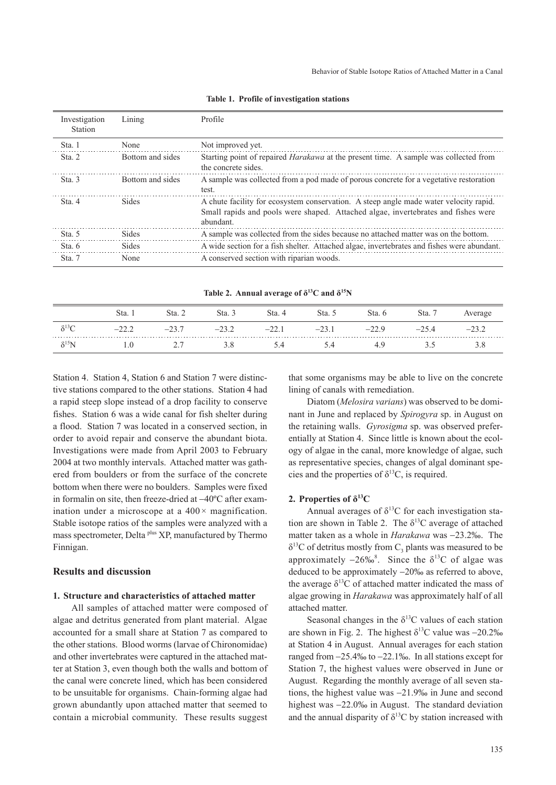| Investigation<br><b>Station</b> | Lining           | Profile                                                                                                                                                                                 |  |  |  |  |
|---------------------------------|------------------|-----------------------------------------------------------------------------------------------------------------------------------------------------------------------------------------|--|--|--|--|
| Sta. 1                          | None             | Not improved yet.                                                                                                                                                                       |  |  |  |  |
| Sta. 2                          | Bottom and sides | Starting point of repaired <i>Harakawa</i> at the present time. A sample was collected from<br>the concrete sides.                                                                      |  |  |  |  |
| Sta. 3                          | Bottom and sides | A sample was collected from a pod made of porous concrete for a vegetative restoration<br>test.                                                                                         |  |  |  |  |
| Sta. 4                          | <b>Sides</b>     | A chute facility for ecosystem conservation. A steep angle made water velocity rapid.<br>Small rapids and pools were shaped. Attached algae, invertebrates and fishes were<br>abundant. |  |  |  |  |
| Sta. 5                          | <b>Sides</b>     | A sample was collected from the sides because no attached matter was on the bottom.                                                                                                     |  |  |  |  |
| Sta. 6                          | <b>Sides</b>     | A wide section for a fish shelter. Attached algae, invertebrates and fishes were abundant.                                                                                              |  |  |  |  |
| Sta 7                           | None             | A conserved section with riparian woods.                                                                                                                                                |  |  |  |  |

**Table 1. Profile of investigation stations**

**Table 2. Annual average of**  $\delta^{13}$ **C and**  $\delta^{15}$ **N** 

|           | Sta.    | Sta. 2  | Sta. 3 | Sta. 4  | Sta. 5  | Sta. 6  | Sta. 7  | Average |
|-----------|---------|---------|--------|---------|---------|---------|---------|---------|
| .         | $-22.2$ | $-23.7$ | $-232$ | $-22.1$ | $-23.1$ | $-22.9$ | $-25.4$ | $-23.2$ |
| $S^{12}N$ |         | ، ، ،   | 3 X    |         | 5.4     | 49      |         | ں . ب   |

Station 4. Station 4, Station 6 and Station 7 were distinctive stations compared to the other stations. Station 4 had a rapid steep slope instead of a drop facility to conserve fishes. Station 6 was a wide canal for fish shelter during a flood. Station 7 was located in a conserved section, in order to avoid repair and conserve the abundant biota. Investigations were made from April 2003 to February 2004 at two monthly intervals. Attached matter was gathered from boulders or from the surface of the concrete bottom when there were no boulders. Samples were fixed in formalin on site, then freeze-dried at  $-40^{\circ}$ C after examination under a microscope at a  $400 \times$  magnification. Stable isotope ratios of the samples were analyzed with a mass spectrometer, Delta <sup>plus</sup> XP, manufactured by Thermo Finnigan.

# **Results and discussion**

## **1. Structure and characteristics of attached matter**

All samples of attached matter were composed of algae and detritus generated from plant material. Algae accounted for a small share at Station 7 as compared to the other stations. Blood worms (larvae of Chironomidae) and other invertebrates were captured in the attached matter at Station 3, even though both the walls and bottom of the canal were concrete lined, which has been considered to be unsuitable for organisms. Chain-forming algae had grown abundantly upon attached matter that seemed to contain a microbial community. These results suggest

that some organisms may be able to live on the concrete lining of canals with remediation.

Diatom (*Melosira varians*) was observed to be dominant in June and replaced by *Spirogyra* sp. in August on the retaining walls. *Gyrosigma* sp. was observed preferentially at Station 4. Since little is known about the ecology of algae in the canal, more knowledge of algae, such as representative species, changes of algal dominant species and the properties of  $\delta^{13}$ C, is required.

#### **2.** Properties of  $\delta^{13}C$

Annual averages of  $\delta^{13}$ C for each investigation station are shown in Table 2. The  $\delta^{13}$ C average of attached matter taken as a whole in *Harakawa* was -23.2‰. The  $\delta^{13}$ C of detritus mostly from C<sub>3</sub> plants was measured to be approximately  $-26\%^8$ . Since the  $\delta^{13}$ C of algae was deduced to be approximately -20‰ as referred to above, the average  $\delta^{13}$ C of attached matter indicated the mass of algae growing in *Harakawa* was approximately half of all attached matter.

Seasonal changes in the  $\delta^{13}$ C values of each station are shown in Fig. 2. The highest  $\delta^{13}$ C value was -20.2‰ at Station 4 in August. Annual averages for each station ranged from -25.4‰ to -22.1‰. In all stations except for Station 7, the highest values were observed in June or August. Regarding the monthly average of all seven stations, the highest value was -21.9‰ in June and second highest was -22.0‰ in August. The standard deviation and the annual disparity of  $\delta^{13}$ C by station increased with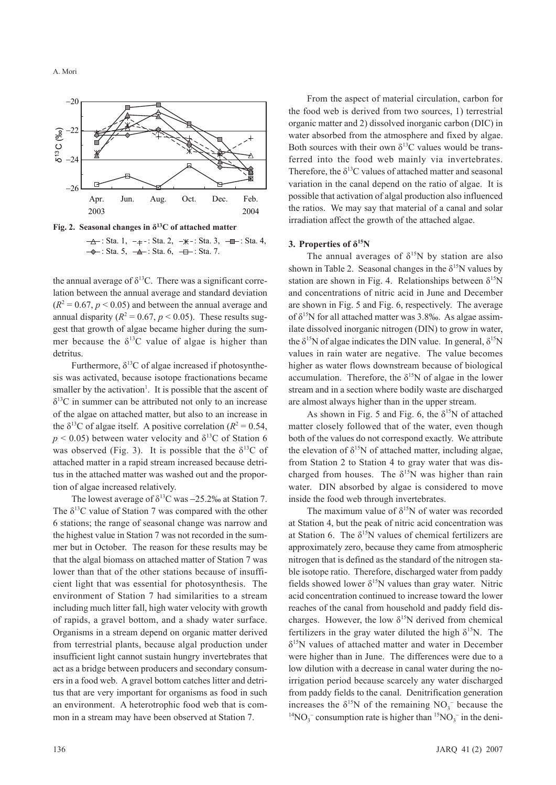A. Mori



 $\rightarrow \rightarrow$ : Sta. 1,  $-+$  -: Sta. 2,  $-\times$  -: Sta. 3,  $-\rightarrow$ : Sta. 4,  $\rightarrow$  : Sta. 5,  $\rightarrow$  : Sta. 6,  $\rightarrow$  : Sta. 7. **Fig. 2. Seasonal changes in δ13C of attached matter**

the annual average of  $\delta^{13}$ C. There was a significant correlation between the annual average and standard deviation  $(R<sup>2</sup> = 0.67, p < 0.05)$  and between the annual average and

annual disparity  $(R^2 = 0.67, p < 0.05)$ . These results suggest that growth of algae became higher during the summer because the  $\delta^{13}$ C value of algae is higher than detritus. Furthermore,  $\delta^{13}$ C of algae increased if photosynthe-

sis was activated, because isotope fractionations became smaller by the activation<sup>1</sup>. It is possible that the ascent of  $\delta^{13}$ C in summer can be attributed not only to an increase of the algae on attached matter, but also to an increase in the  $\delta^{13}$ C of algae itself. A positive correlation ( $R^2 = 0.54$ ,  $p \le 0.05$ ) between water velocity and  $\delta^{13}$ C of Station 6 was observed (Fig. 3). It is possible that the  $\delta^{13}C$  of attached matter in a rapid stream increased because detritus in the attached matter was washed out and the proportion of algae increased relatively.

The lowest average of  $\delta^{13}$ C was -25.2‰ at Station 7. The  $\delta^{13}$ C value of Station 7 was compared with the other 6 stations; the range of seasonal change was narrow and the highest value in Station 7 was not recorded in the summer but in October. The reason for these results may be that the algal biomass on attached matter of Station 7 was lower than that of the other stations because of insufficient light that was essential for photosynthesis. The environment of Station 7 had similarities to a stream including much litter fall, high water velocity with growth of rapids, a gravel bottom, and a shady water surface. Organisms in a stream depend on organic matter derived from terrestrial plants, because algal production under insufficient light cannot sustain hungry invertebrates that act as a bridge between producers and secondary consumers in a food web. A gravel bottom catches litter and detritus that are very important for organisms as food in such an environment. A heterotrophic food web that is common in a stream may have been observed at Station 7.

From the aspect of material circulation, carbon for the food web is derived from two sources, 1) terrestrial organic matter and 2) dissolved inorganic carbon (DIC) in water absorbed from the atmosphere and fixed by algae. Both sources with their own  $\delta^{13}$ C values would be transferred into the food web mainly via invertebrates. Therefore, the  $\delta^{13}$ C values of attached matter and seasonal variation in the canal depend on the ratio of algae. It is possible that activation of algal production also influenced the ratios. We may say that material of a canal and solar irradiation affect the growth of the attached algae.

#### **3.** Properties of  $\delta^{15}N$

The annual averages of  $\delta^{15}N$  by station are also shown in Table 2. Seasonal changes in the  $\delta^{15}N$  values by station are shown in Fig. 4. Relationships between  $\delta^{15}N$ and concentrations of nitric acid in June and December are shown in Fig. 5 and Fig. 6, respectively. The average of  $\delta^{15}N$  for all attached matter was 3.8‰. As algae assimilate dissolved inorganic nitrogen (DIN) to grow in water, the  $\delta^{15}N$  of algae indicates the DIN value. In general,  $\delta^{15}N$ values in rain water are negative. The value becomes higher as water flows downstream because of biological accumulation. Therefore, the  $\delta^{15}N$  of algae in the lower stream and in a section where bodily waste are discharged are almost always higher than in the upper stream.

As shown in Fig. 5 and Fig. 6, the  $\delta^{15}N$  of attached matter closely followed that of the water, even though both of the values do not correspond exactly. We attribute the elevation of  $\delta^{15}N$  of attached matter, including algae, from Station 2 to Station 4 to gray water that was discharged from houses. The  $\delta^{15}N$  was higher than rain water. DIN absorbed by algae is considered to move inside the food web through invertebrates.

The maximum value of  $\delta^{15}N$  of water was recorded at Station 4, but the peak of nitric acid concentration was at Station 6. The  $\delta^{15}N$  values of chemical fertilizers are approximately zero, because they came from atmospheric nitrogen that is defined as the standard of the nitrogen stable isotope ratio. Therefore, discharged water from paddy fields showed lower  $\delta^{15}N$  values than gray water. Nitric acid concentration continued to increase toward the lower reaches of the canal from household and paddy field discharges. However, the low  $\delta^{15}N$  derived from chemical fertilizers in the gray water diluted the high  $\delta^{15}N$ . The  $\delta^{15}$ N values of attached matter and water in December were higher than in June. The differences were due to a low dilution with a decrease in canal water during the noirrigation period because scarcely any water discharged from paddy fields to the canal. Denitrification generation increases the  $\delta^{15}N$  of the remaining  $NO_3^$ increases the  $\delta^{15}N$  of the remaining  $NO_3^-$  because the  $^{14}NO_3^-$  consumption rate is higher than  $^{15}NO_3^-$  in the deni-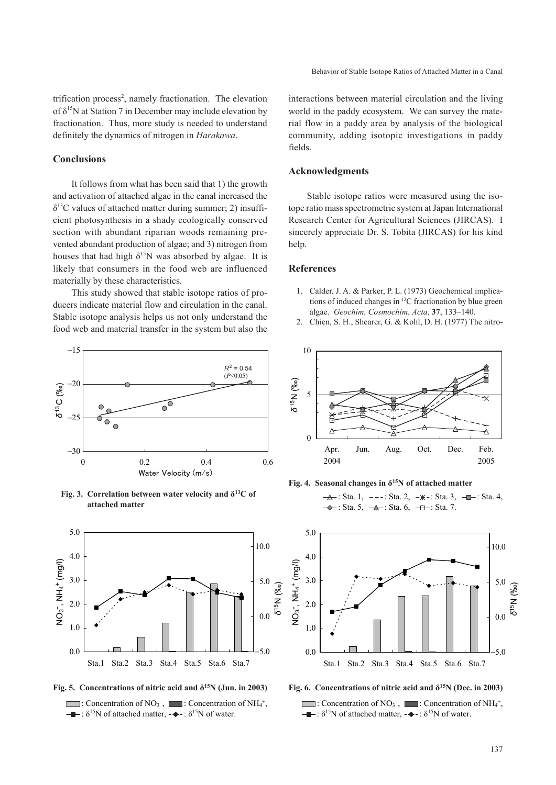trification process<sup>2</sup>, namely fractionation. The elevation of  $\delta^{15}N$  at Station 7 in December may include elevation by fractionation. Thus, more study is needed to understand definitely the dynamics of nitrogen in *Harakawa*.

# **Conclusions**

It follows from what has been said that 1) the growth and activation of attached algae in the canal increased the  $\delta^{13}$ C values of attached matter during summer; 2) insufficient photosynthesis in a shady ecologically conserved section with abundant riparian woods remaining prevented abundant production of algae; and 3) nitrogen from houses that had high  $\delta^{15}N$  was absorbed by algae. It is likely that consumers in the food web are influenced materially by these characteristics.

This study showed that stable isotope ratios of producers indicate material flow and circulation in the canal. Stable isotope analysis helps us not only understand the food web and material transfer in the system but also the



**Fig.** 3. Correlation between water velocity and  $\delta^{13}C$  of **attached matter**



Fig. 5. Concentrations of nitric acid and  $\delta^{15}N$  (Jun. in 2003) Fig. 6. Concentrations of nitric acid and  $\delta^{15}N$  (Dec. in 2003) : Concentration of NO<sub>3</sub><sup>-</sup>,  $\Box$  : Concentration of NH<sub>4</sub><sup>+</sup>,  $-\blacksquare$ :  $\delta^{15}N$  of attached matter,  $-\blacklozenge$  -:  $\delta^{15}N$  of water.

interactions between material circulation and the living world in the paddy ecosystem. We can survey the material flow in a paddy area by analysis of the biological community, adding isotopic investigations in paddy fields.

# **Acknowledgments**

Stable isotope ratios were measured using the isotope ratio mass spectrometric system at Japan International Research Center for Agricultural Sciences (JIRCAS). I sincerely appreciate Dr. S. Tobita (JIRCAS) for his kind help.

#### **References**

- 1. Calder, J. A. & Parker, P. L. (1973) Geochemical implications of induced changes in 13C fractionation by blue green algae. *Geochim. Cosmochim. Acta*, **37**, 133–140.
- 2. Chien, S. H., Shearer, G. & Kohl, D. H. (1977) The nitro-



**Fig. 4. Seasonal changes in δ15N of attached matter**





: Concentration of NO<sub>3</sub><sup>-</sup>,  $\Box$  : Concentration of NH<sub>4</sub><sup>+</sup>,  $-\blacksquare$ :  $\delta^{15}N$  of attached matter,  $-\blacklozenge$  -:  $\delta^{15}N$  of water.